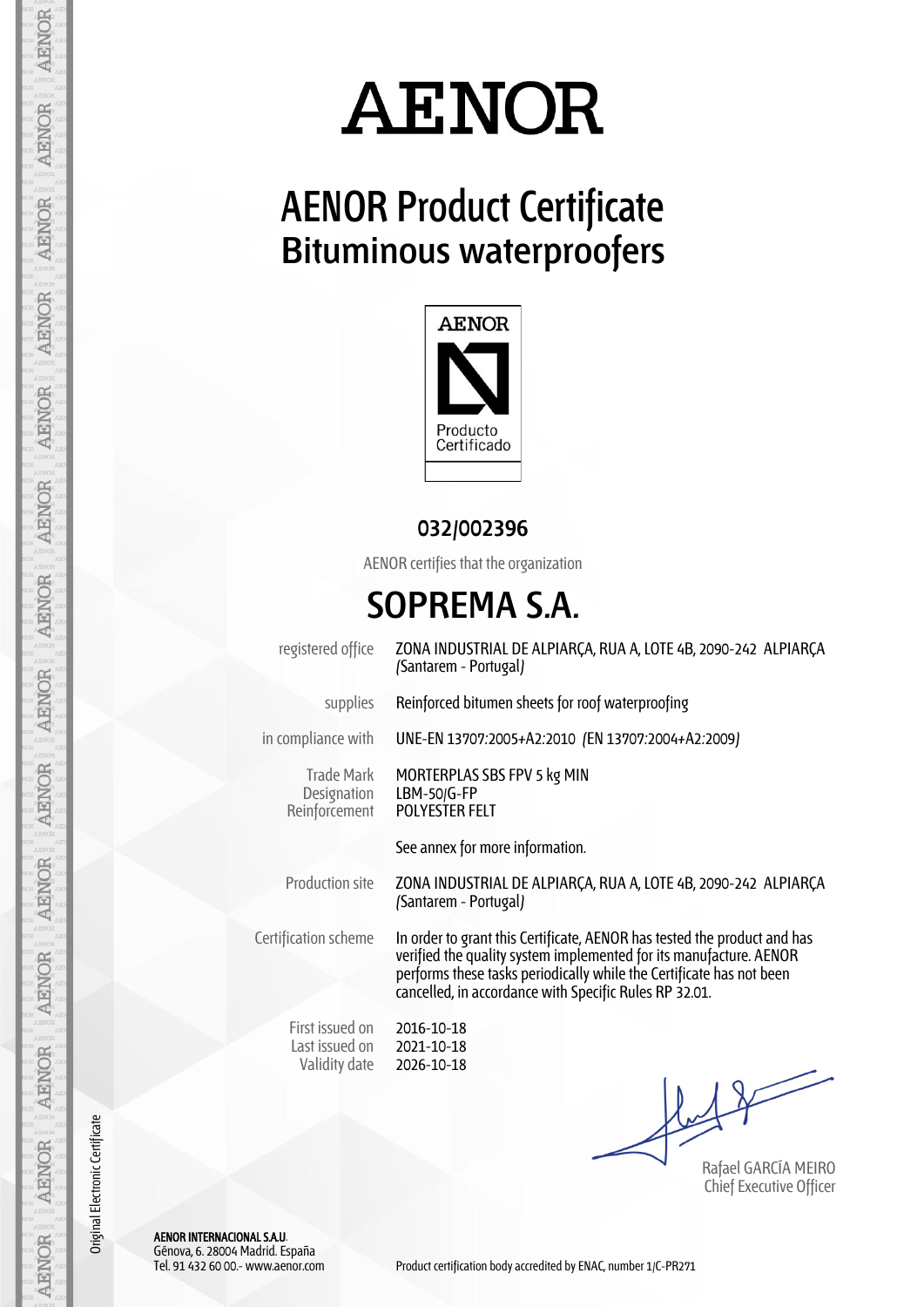

## **AENOR Product Certificate Bituminous waterproofers**



#### **032/002396**

AENOR certifies that the organization

### **SOPREMA S.A.**

registered office ZONA INDUSTRIAL DE ALPIARÇA, RUA A, LOTE 4B, 2090-242 ALPIARÇA (Santarem - Portugal)

supplies Reinforced bitumen sheets for roof waterproofing

in compliance with UNE-EN 13707:2005+A2:2010 (EN 13707:2004+A2:2009)

Trade Mark **Designation** Reinforcement

MORTERPLAS SBS FPV 5 kg MIN LBM-50/G-FP POLYESTER FELT

See annex for more information.

Production site ZONA INDUSTRIAL DE ALPIARÇA, RUA A, LOTE 4B, 2090-242 ALPIARÇA (Santarem - Portugal)

Certification scheme In order to grant this Certificate, AENOR has tested the product and has verified the quality system implemented for its manufacture. AENOR performs these tasks periodically while the Certificate has not been cancelled, in accordance with Specific Rules RP 32.01.

First issued on Last issued on Validity date

2016-10-18 2021-10-18 2026-10-18

Rafael GARCÍA MEIRO Chief Executive Officer

AENOR INTERNACIONAL S.A.U. Génova, 6. 28004 Madrid. España

Original Electronic Certificate

Original Electronic Certificate

AENOR

**AENOR** 

**AENOR** 

**AENOR** 

**AENOR** 

AENOR

**AENOR** 

**AENOR** 

**AENOR** 

**AENOR** 

**AENOR** 

**AENOR** 

**AENOR** 

AENOR